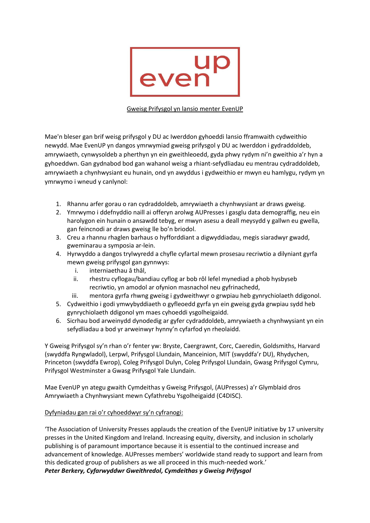

### Gweisg Prifysgol yn lansio menter EvenUP

Mae'n bleser gan brif weisg prifysgol y DU ac Iwerddon gyhoeddi lansio fframwaith cydweithio newydd. Mae EvenUP yn dangos ymrwymiad gweisg prifysgol y DU ac Iwerddon i gydraddoldeb, amrywiaeth, cynwysoldeb a pherthyn yn ein gweithleoedd, gyda phwy rydym ni'n gweithio a'r hyn a gyhoeddwn. Gan gydnabod bod gan wahanol weisg a rhiant-sefydliadau eu mentrau cydraddoldeb, amrywiaeth a chynhwysiant eu hunain, ond yn awyddus i gydweithio er mwyn eu hamlygu, rydym yn ymrwymo i wneud y canlynol:

- 1. Rhannu arfer gorau o ran cydraddoldeb, amrywiaeth a chynhwysiant ar draws gweisg.
- 2. Ymrwymo i ddefnyddio naill ai offeryn arolwg AUPresses i gasglu data demograffig, neu ein harolygon ein hunain o ansawdd tebyg, er mwyn asesu a deall meysydd y gallwn eu gwella, gan feincnodi ar draws gweisg lle bo'n briodol.
- 3. Creu a rhannu rhaglen barhaus o hyfforddiant a digwyddiadau, megis siaradwyr gwadd, gweminarau a symposia ar-lein.
- 4. Hyrwyddo a dangos trylwyredd a chyfle cyfartal mewn prosesau recriwtio a dilyniant gyrfa mewn gweisg prifysgol gan gynnwys:
	- i. interniaethau â thâl,
	- ii. rhestru cyflogau/bandiau cyflog ar bob rôl lefel mynediad a phob hysbyseb recriwtio, yn amodol ar ofynion masnachol neu gyfrinachedd,
	- iii. mentora gyrfa rhwng gweisg i gydweithwyr o grwpiau heb gynrychiolaeth ddigonol.
- 5. Cydweithio i godi ymwybyddiaeth o gyfleoedd gyrfa yn ein gweisg gyda grwpiau sydd heb gynrychiolaeth ddigonol ym maes cyhoeddi ysgolheigaidd.
- 6. Sicrhau bod arweinydd dynodedig ar gyfer cydraddoldeb, amrywiaeth a chynhwysiant yn ein sefydliadau a bod yr arweinwyr hynny'n cyfarfod yn rheolaidd.

Y Gweisg Prifysgol sy'n rhan o'r fenter yw: Bryste, Caergrawnt, Corc, Caeredin, Goldsmiths, Harvard (swyddfa Ryngwladol), Lerpwl, Prifysgol Llundain, Manceinion, MIT (swyddfa'r DU), Rhydychen, Princeton (swyddfa Ewrop), Coleg Prifysgol Dulyn, Coleg Prifysgol Llundain, Gwasg Prifysgol Cymru, Prifysgol Westminster a Gwasg Prifysgol Yale Llundain.

Mae EvenUP yn ategu gwaith Cymdeithas y Gweisg Prifysgol, (AUPresses) a'r Glymblaid dros Amrywiaeth a Chynhwysiant mewn Cyfathrebu Ysgolheigaidd (C4DISC).

# Dyfyniadau gan rai o'r cyhoeddwyr sy'n cyfranogi:

'The Association of University Presses applauds the creation of the EvenUP initiative by 17 university presses in the United Kingdom and Ireland. Increasing equity, diversity, and inclusion in scholarly publishing is of paramount importance because it is essential to the continued increase and advancement of knowledge. AUPresses members' worldwide stand ready to support and learn from this dedicated group of publishers as we all proceed in this much-needed work.' *Peter Berkery, Cyfarwyddwr Gweithredol, Cymdeithas y Gweisg Prifysgol*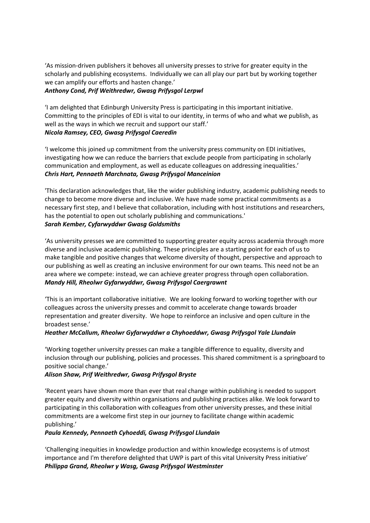'As mission-driven publishers it behoves all university presses to strive for greater equity in the scholarly and publishing ecosystems. Individually we can all play our part but by working together we can amplify our efforts and hasten change.'

### *Anthony Cond, Prif Weithredwr, Gwasg Prifysgol Lerpwl*

'I am delighted that Edinburgh University Press is participating in this important initiative. Committing to the principles of EDI is vital to our identity, in terms of who and what we publish, as well as the ways in which we recruit and support our staff.' *Nicola Ramsey, CEO, Gwasg Prifysgol Caeredin*

'I welcome this joined up commitment from the university press community on EDI initiatives, investigating how we can reduce the barriers that exclude people from participating in scholarly communication and employment, as well as educate colleagues on addressing inequalities.' *Chris Hart, Pennaeth Marchnata, Gwasg Prifysgol Manceinion*

'This declaration acknowledges that, like the wider publishing industry, academic publishing needs to change to become more diverse and inclusive. We have made some practical commitments as a necessary first step, and I believe that collaboration, including with host institutions and researchers, has the potential to open out scholarly publishing and communications.' *Sarah Kember, Cyfarwyddwr Gwasg Goldsmiths* 

'As university presses we are committed to supporting greater equity across academia through more diverse and inclusive academic publishing. These principles are a starting point for each of us to make tangible and positive changes that welcome diversity of thought, perspective and approach to our publishing as well as creating an inclusive environment for our own teams. This need not be an area where we compete: instead, we can achieve greater progress through open collaboration. *Mandy Hill, Rheolwr Gyfarwyddwr, Gwasg Prifysgol Caergrawnt*

'This is an important collaborative initiative. We are looking forward to working together with our colleagues across the university presses and commit to accelerate change towards broader representation and greater diversity. We hope to reinforce an inclusive and open culture in the broadest sense.'

# *Heather McCallum, Rheolwr Gyfarwyddwr a Chyhoeddwr, Gwasg Prifysgol Yale Llundain*

'Working together university presses can make a tangible difference to equality, diversity and inclusion through our publishing, policies and processes. This shared commitment is a springboard to positive social change.'

#### *Alison Shaw, Prif Weithredwr, Gwasg Prifysgol Bryste*

'Recent years have shown more than ever that real change within publishing is needed to support greater equity and diversity within organisations and publishing practices alike. We look forward to participating in this collaboration with colleagues from other university presses, and these initial commitments are a welcome first step in our journey to facilitate change within academic publishing.'

#### *Paula Kennedy, Pennaeth Cyhoeddi, Gwasg Prifysgol Llundain*

'Challenging inequities in knowledge production and within knowledge ecosystems is of utmost importance and I'm therefore delighted that UWP is part of this vital University Press initiative' *Philippa Grand, Rheolwr y Wasg, Gwasg Prifysgol Westminster*